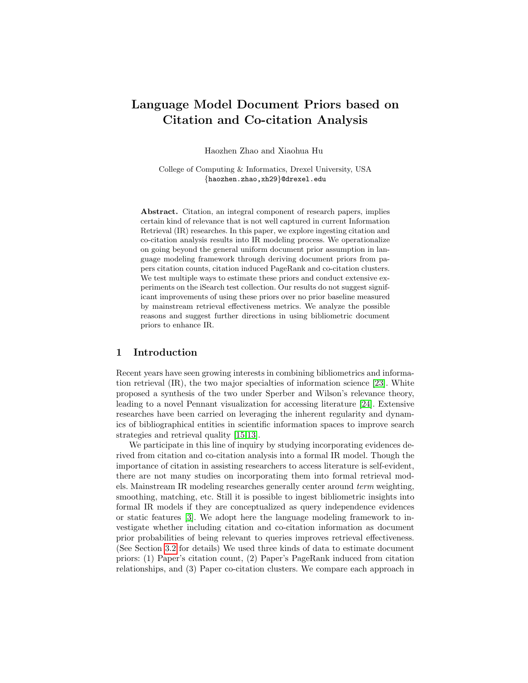# Language Model Document Priors based on Citation and Co-citation Analysis

Haozhen Zhao and Xiaohua Hu

College of Computing & Informatics, Drexel University, USA {haozhen.zhao,xh29}@drexel.edu

Abstract. Citation, an integral component of research papers, implies certain kind of relevance that is not well captured in current Information Retrieval (IR) researches. In this paper, we explore ingesting citation and co-citation analysis results into IR modeling process. We operationalize on going beyond the general uniform document prior assumption in language modeling framework through deriving document priors from papers citation counts, citation induced PageRank and co-citation clusters. We test multiple ways to estimate these priors and conduct extensive experiments on the iSearch test collection. Our results do not suggest significant improvements of using these priors over no prior baseline measured by mainstream retrieval effectiveness metrics. We analyze the possible reasons and suggest further directions in using bibliometric document priors to enhance IR.

## 1 Introduction

Recent years have seen growing interests in combining bibliometrics and information retrieval (IR), the two major specialties of information science [\[23\]](#page-7-0). White proposed a synthesis of the two under Sperber and Wilson's relevance theory, leading to a novel Pennant visualization for accessing literature [\[24\]](#page-7-1). Extensive researches have been carried on leveraging the inherent regularity and dynamics of bibliographical entities in scientific information spaces to improve search strategies and retrieval quality [\[15,](#page-6-0)[13\]](#page-6-1).

We participate in this line of inquiry by studying incorporating evidences derived from citation and co-citation analysis into a formal IR model. Though the importance of citation in assisting researchers to access literature is self-evident, there are not many studies on incorporating them into formal retrieval models. Mainstream IR modeling researches generally center around term weighting, smoothing, matching, etc. Still it is possible to ingest bibliometric insights into formal IR models if they are conceptualized as query independence evidences or static features [\[3\]](#page-5-0). We adopt here the language modeling framework to investigate whether including citation and co-citation information as document prior probabilities of being relevant to queries improves retrieval effectiveness. (See Section [3.2](#page-2-0) for details) We used three kinds of data to estimate document priors: (1) Paper's citation count, (2) Paper's PageRank induced from citation relationships, and (3) Paper co-citation clusters. We compare each approach in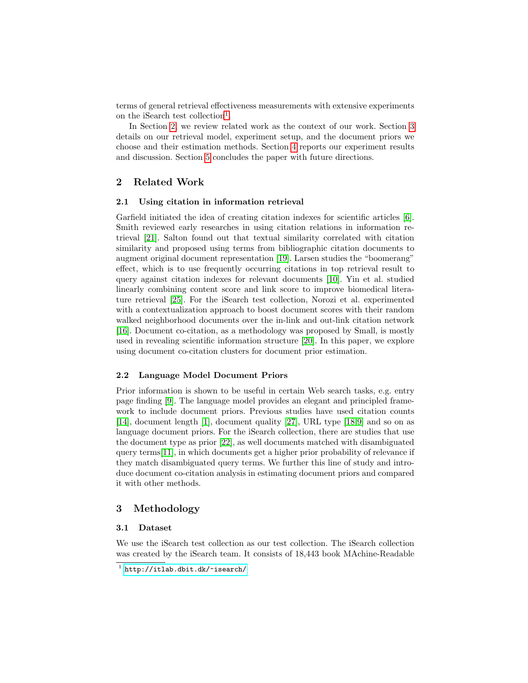terms of general retrieval effectiveness measurements with extensive experiments on the iSearch test collection<sup>[1](#page-1-0)</sup>.

In Section [2,](#page-1-1) we review related work as the context of our work. Section [3](#page-1-2) details on our retrieval model, experiment setup, and the document priors we choose and their estimation methods. Section [4](#page-4-0) reports our experiment results and discussion. Section [5](#page-5-1) concludes the paper with future directions.

# <span id="page-1-1"></span>2 Related Work

#### 2.1 Using citation in information retrieval

Garfield initiated the idea of creating citation indexes for scientific articles [\[6\]](#page-5-2). Smith reviewed early researches in using citation relations in information retrieval [\[21\]](#page-6-2). Salton found out that textual similarity correlated with citation similarity and proposed using terms from bibliographic citation documents to augment original document representation [\[19\]](#page-6-3). Larsen studies the "boomerang" effect, which is to use frequently occurring citations in top retrieval result to query against citation indexes for relevant documents [\[10\]](#page-6-4). Yin et al. studied linearly combining content score and link score to improve biomedical literature retrieval [\[25\]](#page-7-2). For the iSearch test collection, Norozi et al. experimented with a contextualization approach to boost document scores with their random walked neighborhood documents over the in-link and out-link citation network [\[16\]](#page-6-5). Document co-citation, as a methodology was proposed by Small, is mostly used in revealing scientific information structure [\[20\]](#page-6-6). In this paper, we explore using document co-citation clusters for document prior estimation.

### 2.2 Language Model Document Priors

Prior information is shown to be useful in certain Web search tasks, e.g. entry page finding [\[9\]](#page-6-7). The language model provides an elegant and principled framework to include document priors. Previous studies have used citation counts [\[14\]](#page-6-8), document length [\[1\]](#page-5-3), document quality [\[27\]](#page-7-3), URL type [\[18,](#page-6-9)[9\]](#page-6-7) and so on as language document priors. For the iSearch collection, there are studies that use the document type as prior [\[22\]](#page-6-10), as well documents matched with disambiguated query terms[\[11\]](#page-6-11), in which documents get a higher prior probability of relevance if they match disambiguated query terms. We further this line of study and introduce document co-citation analysis in estimating document priors and compared it with other methods.

## <span id="page-1-2"></span>3 Methodology

#### 3.1 Dataset

We use the iSearch test collection as our test collection. The iSearch collection was created by the iSearch team. It consists of 18,443 book MAchine-Readable

<span id="page-1-0"></span> $<sup>1</sup>$  http://itlab.dbit.dk/ $<sub>r</sub>$ isearch/</sup></sub>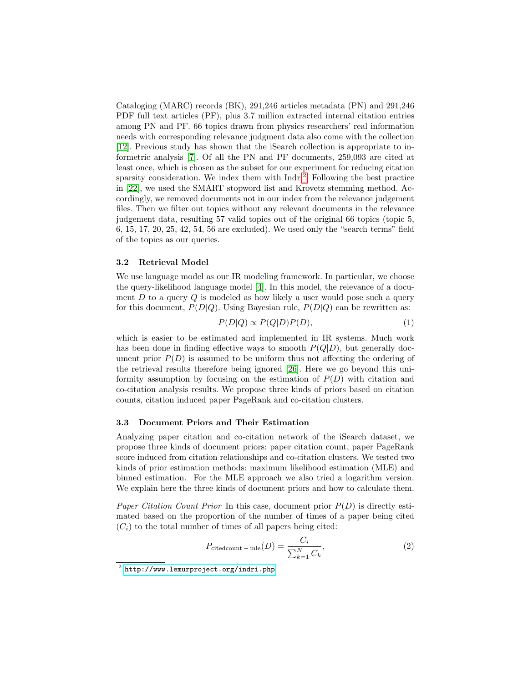Cataloging (MARC) records (BK), 291,246 articles metadata (PN) and 291,246 PDF full text articles (PF), plus 3.7 million extracted internal citation entries among PN and PF. 66 topics drawn from physics researchers' real information needs with corresponding relevance judgment data also come with the collection [\[12\]](#page-6-12). Previous study has shown that the iSearch collection is appropriate to informetric analysis [\[7\]](#page-6-13). Of all the PN and PF documents, 259,093 are cited at least once, which is chosen as the subset for our experiment for reducing citation sparsity consideration. We index them with Indri<sup>[2](#page-2-1)</sup>. Following the best practice in [\[22\]](#page-6-10), we used the SMART stopword list and Krovetz stemming method. Accordingly, we removed documents not in our index from the relevance judgement files. Then we filter out topics without any relevant documents in the relevance judgement data, resulting 57 valid topics out of the original 66 topics (topic 5, 6, 15, 17, 20, 25, 42, 54, 56 are excluded). We used only the "search terms" field of the topics as our queries.

#### <span id="page-2-0"></span>3.2 Retrieval Model

We use language model as our IR modeling framework. In particular, we choose the query-likelihood language model [\[4\]](#page-5-4). In this model, the relevance of a document  $D$  to a query  $Q$  is modeled as how likely a user would pose such a query for this document,  $P(D|Q)$ . Using Bayesian rule,  $P(D|Q)$  can be rewritten as:

$$
P(D|Q) \propto P(Q|D)P(D),\tag{1}
$$

which is easier to be estimated and implemented in IR systems. Much work has been done in finding effective ways to smooth  $P(Q|D)$ , but generally document prior  $P(D)$  is assumed to be uniform thus not affecting the ordering of the retrieval results therefore being ignored [\[26\]](#page-7-4). Here we go beyond this uniformity assumption by focusing on the estimation of  $P(D)$  with citation and co-citation analysis results. We propose three kinds of priors based on citation counts, citation induced paper PageRank and co-citation clusters.

#### 3.3 Document Priors and Their Estimation

Analyzing paper citation and co-citation network of the iSearch dataset, we propose three kinds of document priors: paper citation count, paper PageRank score induced from citation relationships and co-citation clusters. We tested two kinds of prior estimation methods: maximum likelihood estimation (MLE) and binned estimation. For the MLE approach we also tried a logarithm version. We explain here the three kinds of document priors and how to calculate them.

*Paper Citation Count Prior* In this case, document prior  $P(D)$  is directly estimated based on the proportion of the number of times of a paper being cited  $(C_i)$  to the total number of times of all papers being cited:

$$
P_{\text{citedcount}-\text{mle}}(D) = \frac{C_i}{\sum_{k=1}^{N} C_k},\tag{2}
$$

<span id="page-2-1"></span> $^2$  <http://www.lemurproject.org/indri.php>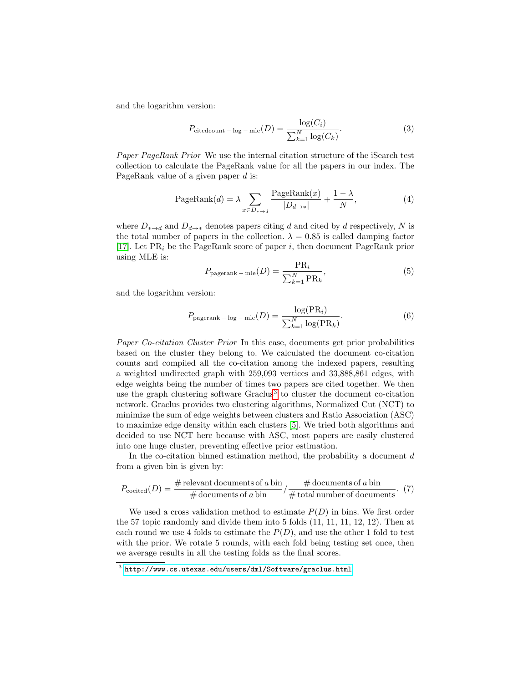and the logarithm version:

$$
P_{\text{citedcount}-\log-\text{mle}}(D) = \frac{\log(C_i)}{\sum_{k=1}^{N} \log(C_k)}.
$$
\n(3)

Paper PageRank Prior We use the internal citation structure of the iSearch test collection to calculate the PageRank value for all the papers in our index. The PageRank value of a given paper d is:

PageRank(d) = 
$$
\lambda \sum_{x \in D_{* \to d}} \frac{\text{PageRank}(x)}{|D_{d \to *}|} + \frac{1 - \lambda}{N},
$$
 (4)

where  $D_{\ast\to d}$  and  $D_{d\to\ast}$  denotes papers citing d and cited by d respectively, N is the total number of papers in the collection.  $\lambda = 0.85$  is called damping factor [\[17\]](#page-6-14). Let  $PR_i$  be the PageRank score of paper i, then document PageRank prior using MLE is:

$$
P_{\text{pagerank} - \text{mle}}(D) = \frac{\text{PR}_i}{\sum_{k=1}^{N} \text{PR}_k},\tag{5}
$$

and the logarithm version:

$$
P_{\text{pagerank} - \log - \text{mle}}(D) = \frac{\log(\text{PR}_i)}{\sum_{k=1}^{N} \log(\text{PR}_k)}.
$$
\n(6)

Paper Co-citation Cluster Prior In this case, documents get prior probabilities based on the cluster they belong to. We calculated the document co-citation counts and compiled all the co-citation among the indexed papers, resulting a weighted undirected graph with 259,093 vertices and 33,888,861 edges, with edge weights being the number of times two papers are cited together. We then use the graph clustering software Graclus<sup>[3](#page-3-0)</sup> to cluster the document co-citation network. Graclus provides two clustering algorithms, Normalized Cut (NCT) to minimize the sum of edge weights between clusters and Ratio Association (ASC) to maximize edge density within each clusters [\[5\]](#page-5-5). We tried both algorithms and decided to use NCT here because with ASC, most papers are easily clustered into one huge cluster, preventing effective prior estimation.

In the co-citation binned estimation method, the probability a document  $d$ from a given bin is given by:

$$
P_{\text{cocited}}(D) = \frac{\text{\# relevant documents of } a \text{ bin}}{\text{\# documents of } a \text{ bin}} / \frac{\text{\# documents of } a \text{ bin}}{\text{\# total number of documents}}. (7)
$$

We used a cross validation method to estimate  $P(D)$  in bins. We first order the 57 topic randomly and divide them into 5 folds (11, 11, 11, 12, 12). Then at each round we use 4 folds to estimate the  $P(D)$ , and use the other 1 fold to test with the prior. We rotate 5 rounds, with each fold being testing set once, then we average results in all the testing folds as the final scores.

<span id="page-3-0"></span> $^3$  <http://www.cs.utexas.edu/users/dml/Software/graclus.html>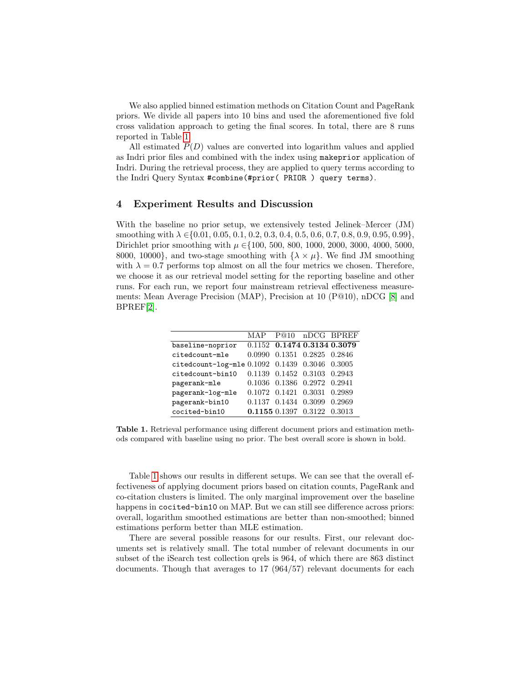We also applied binned estimation methods on Citation Count and PageRank priors. We divide all papers into 10 bins and used the aforementioned five fold cross validation approach to geting the final scores. In total, there are 8 runs reported in Table [1](#page-4-1)

All estimated  $P(D)$  values are converted into logarithm values and applied as Indri prior files and combined with the index using makeprior application of Indri. During the retrieval process, they are applied to query terms according to the Indri Query Syntax #combine(#prior( PRIOR ) query terms).

## <span id="page-4-0"></span>4 Experiment Results and Discussion

With the baseline no prior setup, we extensively tested Jelinek–Mercer (JM) smoothing with  $\lambda \in \{0.01, 0.05, 0.1, 0.2, 0.3, 0.4, 0.5, 0.6, 0.7, 0.8, 0.9, 0.95, 0.99\}$ , Dirichlet prior smoothing with  $\mu \in \{100, 500, 800, 1000, 2000, 3000, 4000, 5000,$ 8000, 10000}, and two-stage smoothing with  $\{\lambda \times \mu\}$ . We find JM smoothing with  $\lambda = 0.7$  performs top almost on all the four metrics we chosen. Therefore, we choose it as our retrieval model setting for the reporting baseline and other runs. For each run, we report four mainstream retrieval effectiveness measurements: Mean Average Precision (MAP), Precision at 10 (P@10), nDCG [\[8\]](#page-6-15) and BPREF[\[2\]](#page-5-6).

|  | 0.2969                                                                                                                                                                                                                                                                                  |
|--|-----------------------------------------------------------------------------------------------------------------------------------------------------------------------------------------------------------------------------------------------------------------------------------------|
|  |                                                                                                                                                                                                                                                                                         |
|  | MAP P@10 nDCG BPREF<br>0.1152 0.1474 0.3134 0.3079<br>0.0990 0.1351 0.2825 0.2846<br>citedcount-log-mle 0.1092 0.1439 0.3046 0.3005<br>0.1139 0.1452 0.3103 0.2943<br>0.1036 0.1386 0.2972 0.2941<br>0.1072 0.1421 0.3031 0.2989<br>0.1137 0.1434 0.3099<br>0.1155 0.1397 0.3122 0.3013 |

<span id="page-4-1"></span>Table 1. Retrieval performance using different document priors and estimation methods compared with baseline using no prior. The best overall score is shown in bold.

Table [1](#page-4-1) shows our results in different setups. We can see that the overall effectiveness of applying document priors based on citation counts, PageRank and co-citation clusters is limited. The only marginal improvement over the baseline happens in cocited-bin10 on MAP. But we can still see difference across priors: overall, logarithm smoothed estimations are better than non-smoothed; binned estimations perform better than MLE estimation.

There are several possible reasons for our results. First, our relevant documents set is relatively small. The total number of relevant documents in our subset of the iSearch test collection qrels is 964, of which there are 863 distinct documents. Though that averages to 17 (964/57) relevant documents for each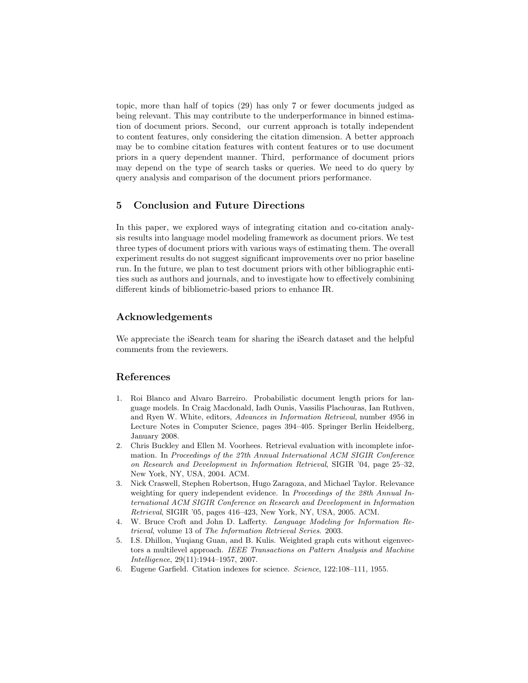topic, more than half of topics (29) has only 7 or fewer documents judged as being relevant. This may contribute to the underperformance in binned estimation of document priors. Second, our current approach is totally independent to content features, only considering the citation dimension. A better approach may be to combine citation features with content features or to use document priors in a query dependent manner. Third, performance of document priors may depend on the type of search tasks or queries. We need to do query by query analysis and comparison of the document priors performance.

# <span id="page-5-1"></span>5 Conclusion and Future Directions

In this paper, we explored ways of integrating citation and co-citation analysis results into language model modeling framework as document priors. We test three types of document priors with various ways of estimating them. The overall experiment results do not suggest significant improvements over no prior baseline run. In the future, we plan to test document priors with other bibliographic entities such as authors and journals, and to investigate how to effectively combining different kinds of bibliometric-based priors to enhance IR.

# Acknowledgements

We appreciate the iSearch team for sharing the iSearch dataset and the helpful comments from the reviewers.

## References

- <span id="page-5-3"></span>1. Roi Blanco and Alvaro Barreiro. Probabilistic document length priors for language models. In Craig Macdonald, Iadh Ounis, Vassilis Plachouras, Ian Ruthven, and Ryen W. White, editors, Advances in Information Retrieval, number 4956 in Lecture Notes in Computer Science, pages 394–405. Springer Berlin Heidelberg, January 2008.
- <span id="page-5-6"></span>2. Chris Buckley and Ellen M. Voorhees. Retrieval evaluation with incomplete information. In Proceedings of the 27th Annual International ACM SIGIR Conference on Research and Development in Information Retrieval, SIGIR '04, page 25–32, New York, NY, USA, 2004. ACM.
- <span id="page-5-0"></span>3. Nick Craswell, Stephen Robertson, Hugo Zaragoza, and Michael Taylor. Relevance weighting for query independent evidence. In Proceedings of the 28th Annual International ACM SIGIR Conference on Research and Development in Information Retrieval, SIGIR '05, pages 416–423, New York, NY, USA, 2005. ACM.
- <span id="page-5-4"></span>4. W. Bruce Croft and John D. Lafferty. Language Modeling for Information Retrieval, volume 13 of The Information Retrieval Series. 2003.
- <span id="page-5-5"></span>5. I.S. Dhillon, Yuqiang Guan, and B. Kulis. Weighted graph cuts without eigenvectors a multilevel approach. IEEE Transactions on Pattern Analysis and Machine Intelligence, 29(11):1944–1957, 2007.
- <span id="page-5-2"></span>6. Eugene Garfield. Citation indexes for science. Science, 122:108–111, 1955.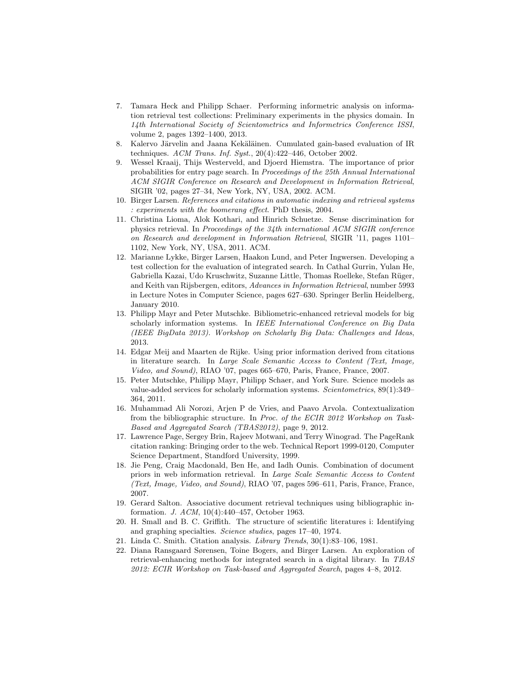- <span id="page-6-13"></span>7. Tamara Heck and Philipp Schaer. Performing informetric analysis on information retrieval test collections: Preliminary experiments in the physics domain. In 14th International Society of Scientometrics and Informetrics Conference ISSI, volume 2, pages 1392–1400, 2013.
- <span id="page-6-15"></span>8. Kalervo Järvelin and Jaana Kekäläinen. Cumulated gain-based evaluation of IR techniques.  $ACM$  Trans. Inf. Syst.,  $20(4):422-446$ , October 2002.
- <span id="page-6-7"></span>9. Wessel Kraaij, Thijs Westerveld, and Djoerd Hiemstra. The importance of prior probabilities for entry page search. In Proceedings of the 25th Annual International ACM SIGIR Conference on Research and Development in Information Retrieval, SIGIR '02, pages 27–34, New York, NY, USA, 2002. ACM.
- <span id="page-6-4"></span>10. Birger Larsen. References and citations in automatic indexing and retrieval systems : experiments with the boomerang effect. PhD thesis, 2004.
- <span id="page-6-11"></span>11. Christina Lioma, Alok Kothari, and Hinrich Schuetze. Sense discrimination for physics retrieval. In Proceedings of the 34th international ACM SIGIR conference on Research and development in Information Retrieval, SIGIR '11, pages 1101– 1102, New York, NY, USA, 2011. ACM.
- <span id="page-6-12"></span>12. Marianne Lykke, Birger Larsen, Haakon Lund, and Peter Ingwersen. Developing a test collection for the evaluation of integrated search. In Cathal Gurrin, Yulan He, Gabriella Kazai, Udo Kruschwitz, Suzanne Little, Thomas Roelleke, Stefan R¨uger, and Keith van Rijsbergen, editors, Advances in Information Retrieval, number 5993 in Lecture Notes in Computer Science, pages 627–630. Springer Berlin Heidelberg, January 2010.
- <span id="page-6-1"></span>13. Philipp Mayr and Peter Mutschke. Bibliometric-enhanced retrieval models for big scholarly information systems. In IEEE International Conference on Big Data (IEEE BigData 2013). Workshop on Scholarly Big Data: Challenges and Ideas, 2013.
- <span id="page-6-8"></span>14. Edgar Meij and Maarten de Rijke. Using prior information derived from citations in literature search. In Large Scale Semantic Access to Content (Text, Image, Video, and Sound), RIAO '07, pages 665–670, Paris, France, France, 2007.
- <span id="page-6-0"></span>15. Peter Mutschke, Philipp Mayr, Philipp Schaer, and York Sure. Science models as value-added services for scholarly information systems. Scientometrics, 89(1):349– 364, 2011.
- <span id="page-6-5"></span>16. Muhammad Ali Norozi, Arjen P de Vries, and Paavo Arvola. Contextualization from the bibliographic structure. In Proc. of the ECIR 2012 Workshop on Task-Based and Aggregated Search (TBAS2012), page 9, 2012.
- <span id="page-6-14"></span>17. Lawrence Page, Sergey Brin, Rajeev Motwani, and Terry Winograd. The PageRank citation ranking: Bringing order to the web. Technical Report 1999-0120, Computer Science Department, Standford University, 1999.
- <span id="page-6-9"></span>18. Jie Peng, Craig Macdonald, Ben He, and Iadh Ounis. Combination of document priors in web information retrieval. In Large Scale Semantic Access to Content (Text, Image, Video, and Sound), RIAO '07, pages 596–611, Paris, France, France, 2007.
- <span id="page-6-3"></span>19. Gerard Salton. Associative document retrieval techniques using bibliographic information. J. ACM, 10(4):440–457, October 1963.
- <span id="page-6-6"></span>20. H. Small and B. C. Griffith. The structure of scientific literatures i: Identifying and graphing specialties. Science studies, pages 17–40, 1974.
- <span id="page-6-2"></span>21. Linda C. Smith. Citation analysis. Library Trends, 30(1):83–106, 1981.
- <span id="page-6-10"></span>22. Diana Ransgaard Sørensen, Toine Bogers, and Birger Larsen. An exploration of retrieval-enhancing methods for integrated search in a digital library. In TBAS 2012: ECIR Workshop on Task-based and Aggregated Search, pages 4–8, 2012.